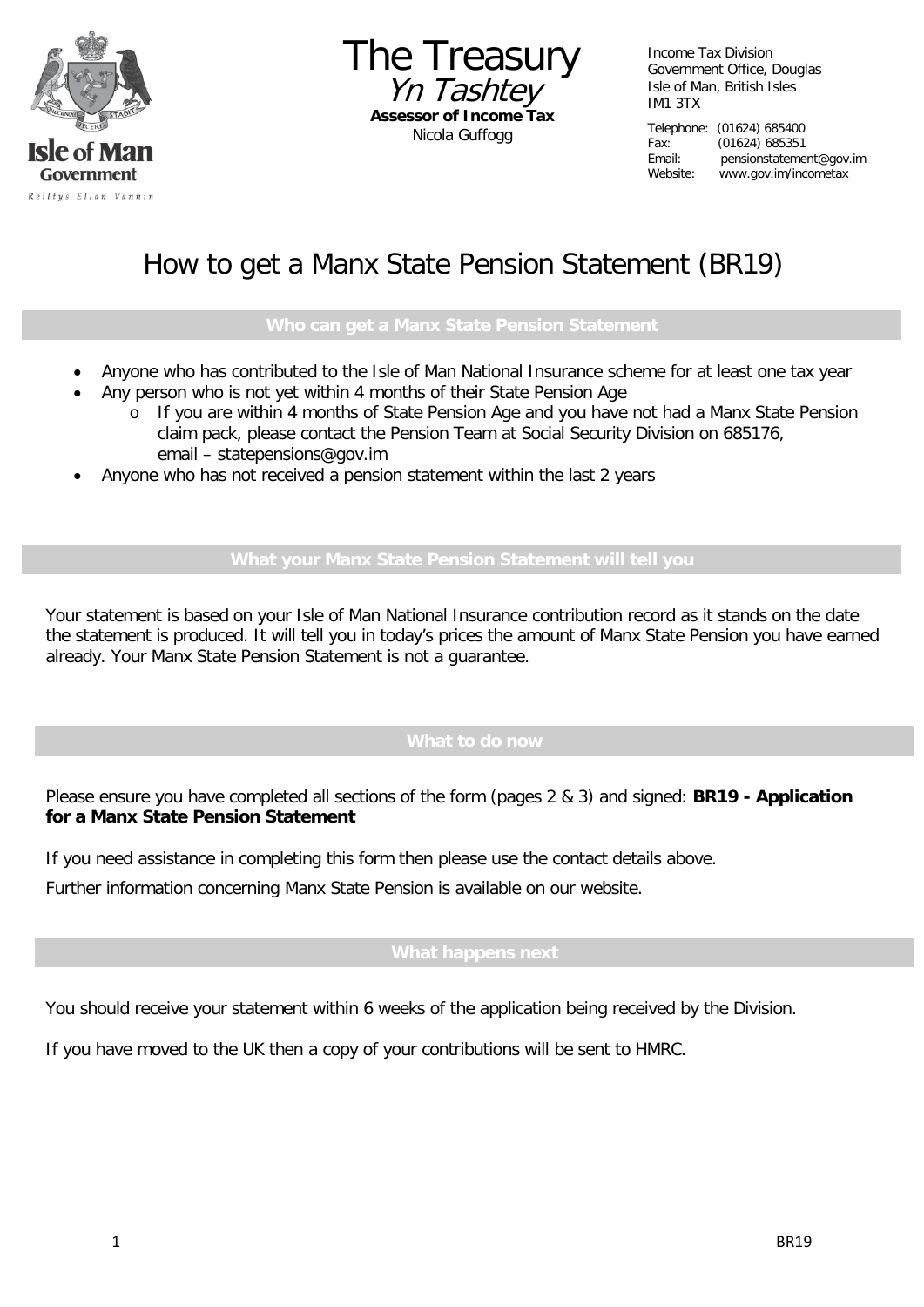

The Treasury Yn Tashtey **Assessor of Income Tax** Nicola Guffogg

Income Tax Division Government Office, Douglas Isle of Man, British Isles IM1 3TX

Telephone: (01624) 685400 Fax: (01624) 685351 Email: pensionstatement@gov.im Website: www.gov.im/incometax

# How to get a Manx State Pension Statement (BR19)

- Anyone who has contributed to the Isle of Man National Insurance scheme for at least one tax year
- Any person who is not yet within 4 months of their State Pension Age
	- o If you are within 4 months of State Pension Age and you have not had a Manx State Pension claim pack, please contact the Pension Team at Social Security Division on 685176, email – statepensions@gov.im
- Anyone who has not received a pension statement within the last 2 years

Your statement is based on your Isle of Man National Insurance contribution record as it stands on the date the statement is produced. It will tell you in today's prices the amount of Manx State Pension you have earned already. Your Manx State Pension Statement is not a guarantee.

Please ensure you have completed all sections of the form (pages 2 & 3) and signed: **BR19 - Application for a Manx State Pension Statement**

If you need assistance in completing this form then please use the contact details above.

Further information concerning Manx State Pension is available on our website.

### **What happens next**

You should receive your statement within 6 weeks of the application being received by the Division.

If you have moved to the UK then a copy of your contributions will be sent to HMRC.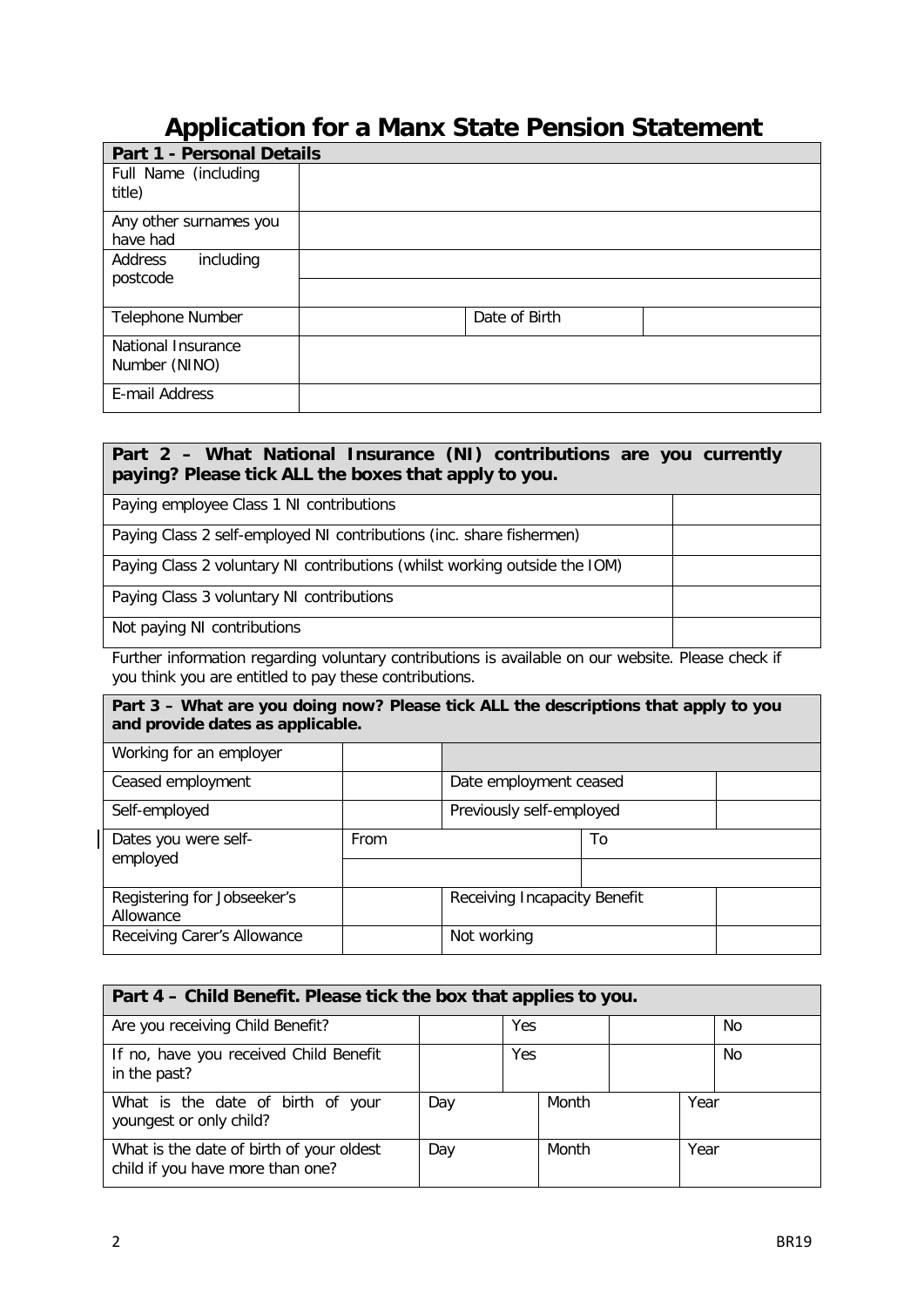# **Application for a Manx State Pension Statement**

| <b>Part 1 - Personal Details</b> |               |  |
|----------------------------------|---------------|--|
| Full Name (including             |               |  |
| title)                           |               |  |
| Any other surnames you           |               |  |
| have had                         |               |  |
| including<br>Address<br>postcode |               |  |
|                                  |               |  |
| Telephone Number                 | Date of Birth |  |
| National Insurance               |               |  |
| Number (NINO)                    |               |  |
| E-mail Address                   |               |  |

### **Part 2 – What National Insurance (NI) contributions are you currently paying? Please tick ALL the boxes that apply to you.**

Paying employee Class 1 NI contributions

Paying Class 2 self-employed NI contributions (inc. share fishermen)

Paying Class 2 voluntary NI contributions (whilst working outside the IOM)

Paying Class 3 voluntary NI contributions

Not paying NI contributions

Further information regarding voluntary contributions is available on our website. Please check if you think you are entitled to pay these contributions.

## **Part 3 – What are you doing now? Please tick ALL the descriptions that apply to you and provide dates as applicable.**

|      | Date employment ceased       |    |  |
|------|------------------------------|----|--|
|      | Previously self-employed     |    |  |
| From |                              | To |  |
|      |                              |    |  |
|      | Receiving Incapacity Benefit |    |  |
|      | Not working                  |    |  |
|      |                              |    |  |

| Part 4 – Child Benefit. Please tick the box that applies to you.             |     |  |       |    |      |  |
|------------------------------------------------------------------------------|-----|--|-------|----|------|--|
| Are you receiving Child Benefit?                                             | Yes |  |       | No |      |  |
| If no, have you received Child Benefit<br>in the past?                       | Yes |  |       |    | No.  |  |
| What is the date of birth of your<br>youngest or only child?                 | Day |  | Month |    | Year |  |
| What is the date of birth of your oldest<br>child if you have more than one? | Day |  | Month |    | Year |  |